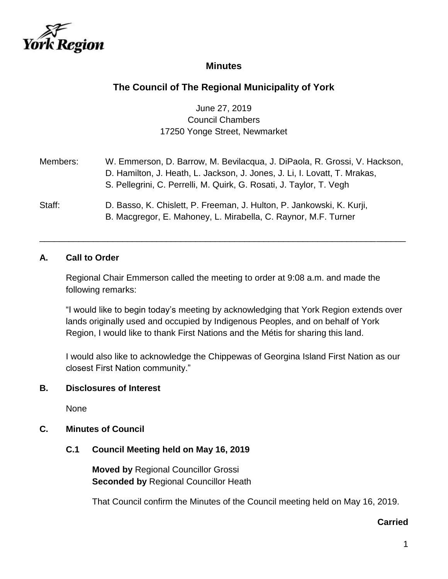

## **Minutes**

# **The Council of The Regional Municipality of York**

## June 27, 2019 Council Chambers 17250 Yonge Street, Newmarket

| Members: | W. Emmerson, D. Barrow, M. Bevilacqua, J. DiPaola, R. Grossi, V. Hackson,<br>D. Hamilton, J. Heath, L. Jackson, J. Jones, J. Li, I. Lovatt, T. Mrakas,<br>S. Pellegrini, C. Perrelli, M. Quirk, G. Rosati, J. Taylor, T. Vegh |
|----------|-------------------------------------------------------------------------------------------------------------------------------------------------------------------------------------------------------------------------------|
| Staff:   | D. Basso, K. Chislett, P. Freeman, J. Hulton, P. Jankowski, K. Kurji,<br>B. Macgregor, E. Mahoney, L. Mirabella, C. Raynor, M.F. Turner                                                                                       |

\_\_\_\_\_\_\_\_\_\_\_\_\_\_\_\_\_\_\_\_\_\_\_\_\_\_\_\_\_\_\_\_\_\_\_\_\_\_\_\_\_\_\_\_\_\_\_\_\_\_\_\_\_\_\_\_\_\_\_\_\_\_\_\_\_\_\_\_\_\_\_\_\_\_\_

#### **A. Call to Order**

Regional Chair Emmerson called the meeting to order at 9:08 a.m. and made the following remarks:

"I would like to begin today's meeting by acknowledging that York Region extends over lands originally used and occupied by Indigenous Peoples, and on behalf of York Region, I would like to thank First Nations and the Métis for sharing this land.

I would also like to acknowledge the Chippewas of Georgina Island First Nation as our closest First Nation community."

#### **B. Disclosures of Interest**

None

#### **C. Minutes of Council**

#### **C.1 Council Meeting held on May 16, 2019**

**Moved by** Regional Councillor Grossi **Seconded by** Regional Councillor Heath

That Council confirm the Minutes of the Council meeting held on May 16, 2019.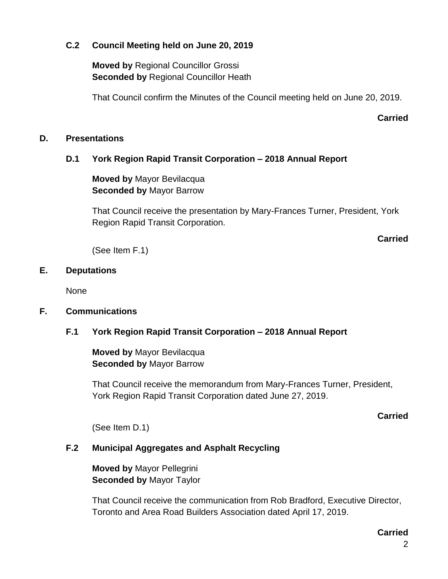## **C.2 Council Meeting held on June 20, 2019**

**Moved by** Regional Councillor Grossi **Seconded by** Regional Councillor Heath

That Council confirm the Minutes of the Council meeting held on June 20, 2019.

**Carried**

## **D. Presentations**

## **D.1 York Region Rapid Transit Corporation – 2018 Annual Report**

**Moved by** Mayor Bevilacqua **Seconded by** Mayor Barrow

That Council receive the presentation by Mary-Frances Turner, President, York Region Rapid Transit Corporation.

**Carried**

(See Item F.1)

## **E. Deputations**

None

## **F. Communications**

## **F.1 York Region Rapid Transit Corporation – 2018 Annual Report**

**Moved by** Mayor Bevilacqua **Seconded by** Mayor Barrow

That Council receive the memorandum from Mary-Frances Turner, President, York Region Rapid Transit Corporation dated June 27, 2019.

#### **Carried**

(See Item D.1)

## **F.2 Municipal Aggregates and Asphalt Recycling**

**Moved by** Mayor Pellegrini **Seconded by** Mayor Taylor

That Council receive the communication from Rob Bradford, Executive Director, Toronto and Area Road Builders Association dated April 17, 2019.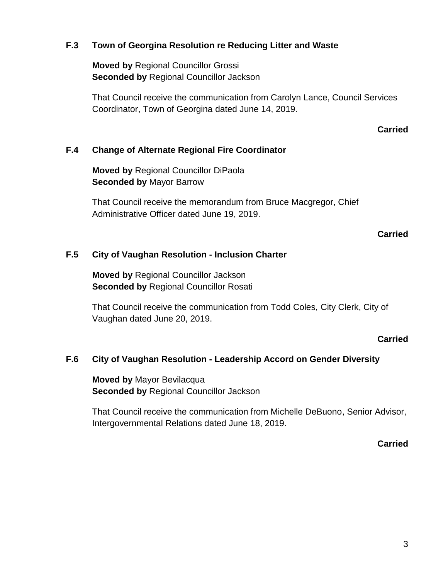## **F.3 Town of Georgina Resolution re Reducing Litter and Waste**

**Moved by** Regional Councillor Grossi **Seconded by** Regional Councillor Jackson

That Council receive the communication from Carolyn Lance, Council Services Coordinator, Town of Georgina dated June 14, 2019.

#### **Carried**

#### **F.4 Change of Alternate Regional Fire Coordinator**

**Moved by** Regional Councillor DiPaola **Seconded by** Mayor Barrow

That Council receive the memorandum from Bruce Macgregor, Chief Administrative Officer dated June 19, 2019.

### **Carried**

### **F.5 City of Vaughan Resolution - Inclusion Charter**

**Moved by** Regional Councillor Jackson **Seconded by** Regional Councillor Rosati

That Council receive the communication from Todd Coles, City Clerk, City of Vaughan dated June 20, 2019.

#### **Carried**

#### **F.6 City of Vaughan Resolution - Leadership Accord on Gender Diversity**

**Moved by** Mayor Bevilacqua **Seconded by** Regional Councillor Jackson

That Council receive the communication from Michelle DeBuono, Senior Advisor, Intergovernmental Relations dated June 18, 2019.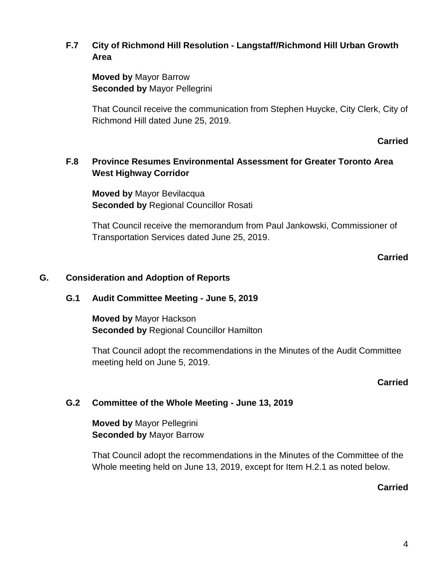## **F.7 City of Richmond Hill Resolution - Langstaff/Richmond Hill Urban Growth Area**

**Moved by** Mayor Barrow **Seconded by** Mayor Pellegrini

That Council receive the communication from Stephen Huycke, City Clerk, City of Richmond Hill dated June 25, 2019.

### **Carried**

## **F.8 Province Resumes Environmental Assessment for Greater Toronto Area West Highway Corridor**

**Moved by** Mayor Bevilacqua **Seconded by** Regional Councillor Rosati

That Council receive the memorandum from Paul Jankowski, Commissioner of Transportation Services dated June 25, 2019.

## **Carried**

### **G. Consideration and Adoption of Reports**

### **G.1 Audit Committee Meeting - June 5, 2019**

**Moved by** Mayor Hackson **Seconded by** Regional Councillor Hamilton

That Council adopt the recommendations in the Minutes of the Audit Committee meeting held on June 5, 2019.

### **Carried**

## **G.2 Committee of the Whole Meeting - June 13, 2019**

**Moved by** Mayor Pellegrini **Seconded by** Mayor Barrow

That Council adopt the recommendations in the Minutes of the Committee of the Whole meeting held on June 13, 2019, except for Item H.2.1 as noted below.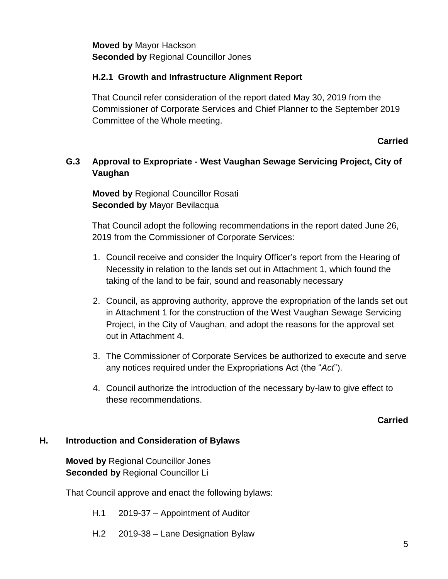**Moved by** Mayor Hackson **Seconded by** Regional Councillor Jones

## **H.2.1 Growth and Infrastructure Alignment Report**

That Council refer consideration of the report dated May 30, 2019 from the Commissioner of Corporate Services and Chief Planner to the September 2019 Committee of the Whole meeting.

**Carried**

## **G.3 Approval to Expropriate - West Vaughan Sewage Servicing Project, City of Vaughan**

**Moved by** Regional Councillor Rosati **Seconded by** Mayor Bevilacqua

That Council adopt the following recommendations in the report dated June 26, 2019 from the Commissioner of Corporate Services:

- 1. Council receive and consider the Inquiry Officer's report from the Hearing of Necessity in relation to the lands set out in Attachment 1, which found the taking of the land to be fair, sound and reasonably necessary
- 2. Council, as approving authority, approve the expropriation of the lands set out in Attachment 1 for the construction of the West Vaughan Sewage Servicing Project, in the City of Vaughan, and adopt the reasons for the approval set out in Attachment 4.
- 3. The Commissioner of Corporate Services be authorized to execute and serve any notices required under the Expropriations Act (the "*Act*").
- 4. Council authorize the introduction of the necessary by-law to give effect to these recommendations.

**Carried**

#### **H. Introduction and Consideration of Bylaws**

**Moved by** Regional Councillor Jones **Seconded by** Regional Councillor Li

That Council approve and enact the following bylaws:

- H.1 2019-37 Appointment of Auditor
- H.2 2019-38 Lane Designation Bylaw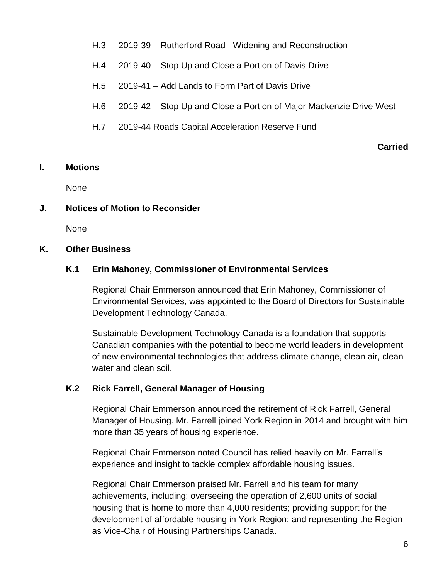- H.3 2019-39 Rutherford Road Widening and Reconstruction
- H.4 2019-40 Stop Up and Close a Portion of Davis Drive
- H.5 2019-41 Add Lands to Form Part of Davis Drive
- H.6 2019-42 Stop Up and Close a Portion of Major Mackenzie Drive West
- H.7 2019-44 Roads Capital Acceleration Reserve Fund

#### **Carried**

#### **I. Motions**

None

## **J. Notices of Motion to Reconsider**

None

### **K. Other Business**

## **K.1 Erin Mahoney, Commissioner of Environmental Services**

Regional Chair Emmerson announced that Erin Mahoney, Commissioner of Environmental Services, was appointed to the Board of Directors for Sustainable Development Technology Canada.

Sustainable Development Technology Canada is a foundation that supports Canadian companies with the potential to become world leaders in development of new environmental technologies that address climate change, clean air, clean water and clean soil.

## **K.2 Rick Farrell, General Manager of Housing**

Regional Chair Emmerson announced the retirement of Rick Farrell, General Manager of Housing. Mr. Farrell joined York Region in 2014 and brought with him more than 35 years of housing experience.

Regional Chair Emmerson noted Council has relied heavily on Mr. Farrell's experience and insight to tackle complex affordable housing issues.

Regional Chair Emmerson praised Mr. Farrell and his team for many achievements, including: overseeing the operation of 2,600 units of social housing that is home to more than 4,000 residents; providing support for the development of affordable housing in York Region; and representing the Region as Vice-Chair of Housing Partnerships Canada.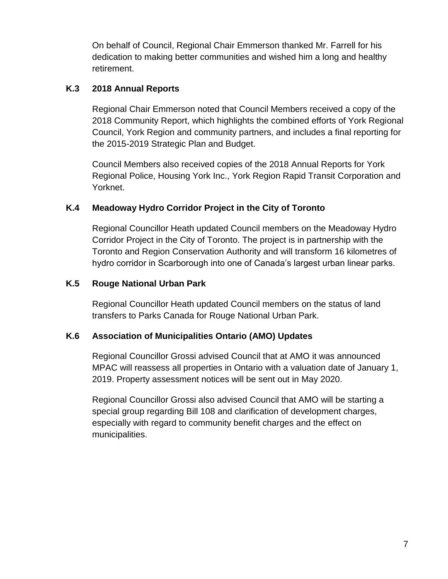On behalf of Council, Regional Chair Emmerson thanked Mr. Farrell for his dedication to making better communities and wished him a long and healthy retirement.

## **K.3 2018 Annual Reports**

Regional Chair Emmerson noted that Council Members received a copy of the 2018 Community Report, which highlights the combined efforts of York Regional Council, York Region and community partners, and includes a final reporting for the 2015-2019 Strategic Plan and Budget.

Council Members also received copies of the 2018 Annual Reports for York Regional Police, Housing York Inc., York Region Rapid Transit Corporation and Yorknet.

## **K.4 Meadoway Hydro Corridor Project in the City of Toronto**

Regional Councillor Heath updated Council members on the Meadoway Hydro Corridor Project in the City of Toronto. The project is in partnership with the Toronto and Region Conservation Authority and will transform 16 kilometres of hydro corridor in Scarborough into one of Canada's largest urban linear parks.

## **K.5 Rouge National Urban Park**

Regional Councillor Heath updated Council members on the status of land transfers to Parks Canada for Rouge National Urban Park.

## **K.6 Association of Municipalities Ontario (AMO) Updates**

Regional Councillor Grossi advised Council that at AMO it was announced MPAC will reassess all properties in Ontario with a valuation date of January 1, 2019. Property assessment notices will be sent out in May 2020.

Regional Councillor Grossi also advised Council that AMO will be starting a special group regarding Bill 108 and clarification of development charges, especially with regard to community benefit charges and the effect on municipalities.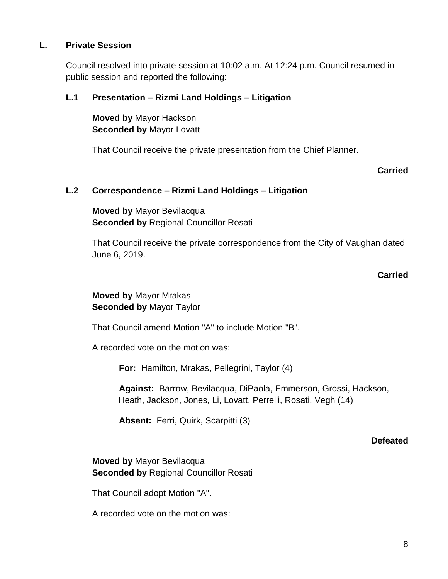## **L. Private Session**

Council resolved into private session at 10:02 a.m. At 12:24 p.m. Council resumed in public session and reported the following:

## **L.1 Presentation – Rizmi Land Holdings – Litigation**

**Moved by** Mayor Hackson **Seconded by** Mayor Lovatt

That Council receive the private presentation from the Chief Planner.

### **Carried**

### **L.2 Correspondence – Rizmi Land Holdings – Litigation**

**Moved by** Mayor Bevilacqua **Seconded by** Regional Councillor Rosati

That Council receive the private correspondence from the City of Vaughan dated June 6, 2019.

#### **Carried**

## **Moved by** Mayor Mrakas **Seconded by** Mayor Taylor

That Council amend Motion "A" to include Motion "B".

A recorded vote on the motion was:

**For:** Hamilton, Mrakas, Pellegrini, Taylor (4)

**Against:** Barrow, Bevilacqua, DiPaola, Emmerson, Grossi, Hackson, Heath, Jackson, Jones, Li, Lovatt, Perrelli, Rosati, Vegh (14)

**Absent:** Ferri, Quirk, Scarpitti (3)

#### **Defeated**

**Moved by** Mayor Bevilacqua **Seconded by** Regional Councillor Rosati

That Council adopt Motion "A".

A recorded vote on the motion was: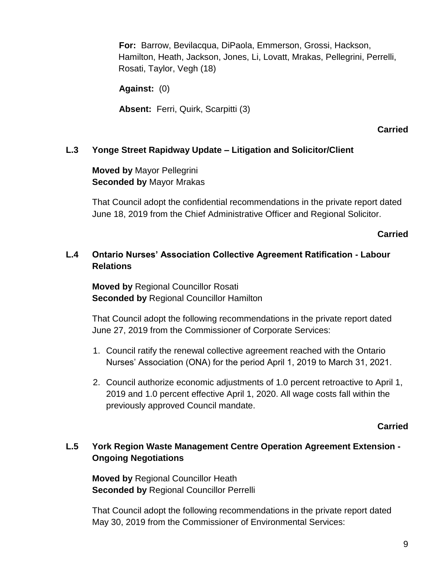**For:** Barrow, Bevilacqua, DiPaola, Emmerson, Grossi, Hackson, Hamilton, Heath, Jackson, Jones, Li, Lovatt, Mrakas, Pellegrini, Perrelli, Rosati, Taylor, Vegh (18)

**Against:** (0)

**Absent:** Ferri, Quirk, Scarpitti (3)

**Carried**

### **L.3 Yonge Street Rapidway Update – Litigation and Solicitor/Client**

**Moved by** Mayor Pellegrini **Seconded by** Mayor Mrakas

That Council adopt the confidential recommendations in the private report dated June 18, 2019 from the Chief Administrative Officer and Regional Solicitor.

**Carried**

## **L.4 Ontario Nurses' Association Collective Agreement Ratification - Labour Relations**

**Moved by** Regional Councillor Rosati **Seconded by** Regional Councillor Hamilton

That Council adopt the following recommendations in the private report dated June 27, 2019 from the Commissioner of Corporate Services:

- 1. Council ratify the renewal collective agreement reached with the Ontario Nurses' Association (ONA) for the period April 1, 2019 to March 31, 2021.
- 2. Council authorize economic adjustments of 1.0 percent retroactive to April 1, 2019 and 1.0 percent effective April 1, 2020. All wage costs fall within the previously approved Council mandate.

#### **Carried**

## **L.5 York Region Waste Management Centre Operation Agreement Extension - Ongoing Negotiations**

**Moved by** Regional Councillor Heath **Seconded by** Regional Councillor Perrelli

That Council adopt the following recommendations in the private report dated May 30, 2019 from the Commissioner of Environmental Services: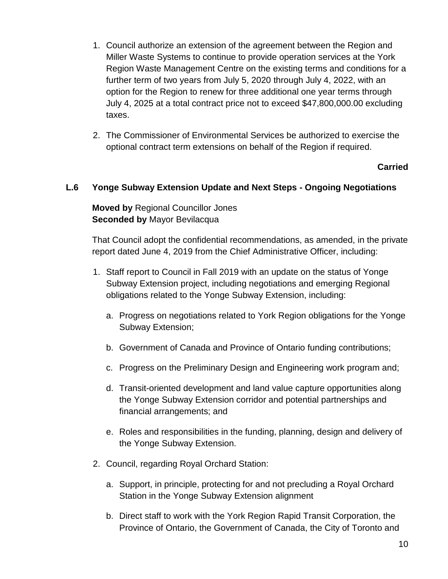- 1. Council authorize an extension of the agreement between the Region and Miller Waste Systems to continue to provide operation services at the York Region Waste Management Centre on the existing terms and conditions for a further term of two years from July 5, 2020 through July 4, 2022, with an option for the Region to renew for three additional one year terms through July 4, 2025 at a total contract price not to exceed \$47,800,000.00 excluding taxes.
- 2. The Commissioner of Environmental Services be authorized to exercise the optional contract term extensions on behalf of the Region if required.

## **Carried**

### **L.6 Yonge Subway Extension Update and Next Steps - Ongoing Negotiations**

**Moved by** Regional Councillor Jones **Seconded by** Mayor Bevilacqua

That Council adopt the confidential recommendations, as amended, in the private report dated June 4, 2019 from the Chief Administrative Officer, including:

- 1. Staff report to Council in Fall 2019 with an update on the status of Yonge Subway Extension project, including negotiations and emerging Regional obligations related to the Yonge Subway Extension, including:
	- a. Progress on negotiations related to York Region obligations for the Yonge Subway Extension;
	- b. Government of Canada and Province of Ontario funding contributions;
	- c. Progress on the Preliminary Design and Engineering work program and;
	- d. Transit-oriented development and land value capture opportunities along the Yonge Subway Extension corridor and potential partnerships and financial arrangements; and
	- e. Roles and responsibilities in the funding, planning, design and delivery of the Yonge Subway Extension.
- 2. Council, regarding Royal Orchard Station:
	- a. Support, in principle, protecting for and not precluding a Royal Orchard Station in the Yonge Subway Extension alignment
	- b. Direct staff to work with the York Region Rapid Transit Corporation, the Province of Ontario, the Government of Canada, the City of Toronto and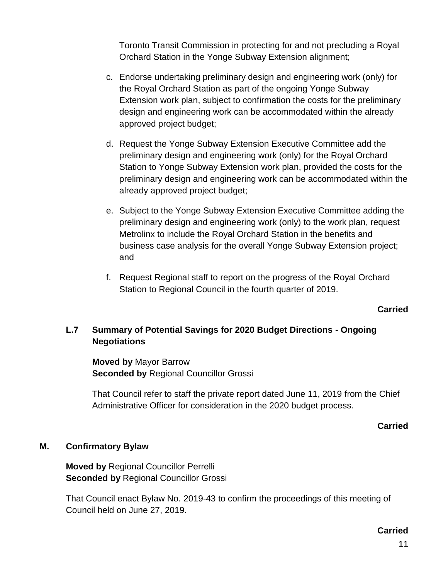Toronto Transit Commission in protecting for and not precluding a Royal Orchard Station in the Yonge Subway Extension alignment;

- c. Endorse undertaking preliminary design and engineering work (only) for the Royal Orchard Station as part of the ongoing Yonge Subway Extension work plan, subject to confirmation the costs for the preliminary design and engineering work can be accommodated within the already approved project budget;
- d. Request the Yonge Subway Extension Executive Committee add the preliminary design and engineering work (only) for the Royal Orchard Station to Yonge Subway Extension work plan, provided the costs for the preliminary design and engineering work can be accommodated within the already approved project budget;
- e. Subject to the Yonge Subway Extension Executive Committee adding the preliminary design and engineering work (only) to the work plan, request Metrolinx to include the Royal Orchard Station in the benefits and business case analysis for the overall Yonge Subway Extension project; and
- f. Request Regional staff to report on the progress of the Royal Orchard Station to Regional Council in the fourth quarter of 2019.

#### **Carried**

## **L.7 Summary of Potential Savings for 2020 Budget Directions - Ongoing Negotiations**

**Moved by** Mayor Barrow **Seconded by** Regional Councillor Grossi

That Council refer to staff the private report dated June 11, 2019 from the Chief Administrative Officer for consideration in the 2020 budget process.

#### **Carried**

#### **M. Confirmatory Bylaw**

**Moved by** Regional Councillor Perrelli **Seconded by** Regional Councillor Grossi

That Council enact Bylaw No. 2019-43 to confirm the proceedings of this meeting of Council held on June 27, 2019.